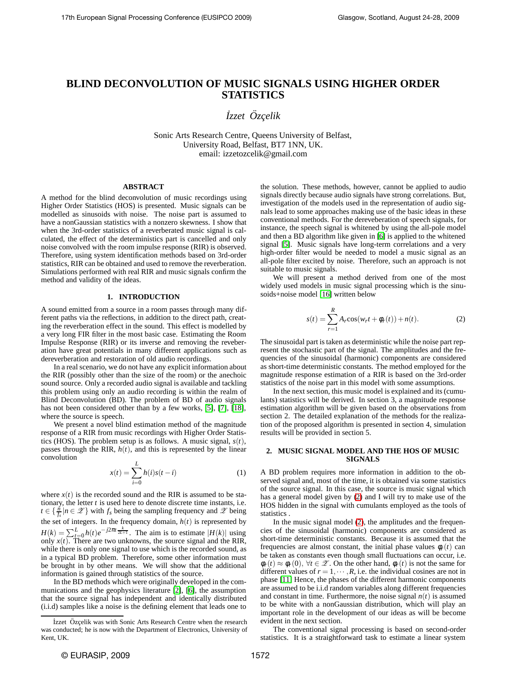# **BLIND DECONVOLUTION OF MUSIC SIGNALS USING HIGHER ORDER STATISTICS**

*˙Izzet Ozc ¨ ¸elik*

Sonic Arts Research Centre, Queens University of Belfast, University Road, Belfast, BT7 1NN, UK. email: izzetozcelik@gmail.com

## **ABSTRACT**

A method for the blind deconvolution of music recordings using Higher Order Statistics (HOS) is presented. Music signals can be modelled as sinusoids with noise. The noise part is assumed to have a nonGaussian statistics with a nonzero skewness. I show that when the 3rd-order statistics of a reverberated music signal is calculated, the effect of the deterministics part is cancelled and only noise convolved with the room impulse response (RIR) is observed. Therefore, using system identification methods based on 3rd-order statistics, RIR can be obtained and used to remove the reverberation. Simulations performed with real RIR and music signals confirm the method and validity of the ideas.

#### **1. INTRODUCTION**

A sound emitted from a source in a room passes through many different paths via the reflections, in addition to the direct path, creating the reverberation effect in the sound. This effect is modelled by a very long FIR filter in the most basic case. Estimating the Room Impulse Response (RIR) or its inverse and removing the reveberation have great potentials in many different applications such as dereverberation and restoration of old audio recordings.

In a real scenario, we do not have any explicit information about the RIR (possibly other than the size of the room) or the anechoic sound source. Only a recorded audio signal is available and tackling this problem using only an audio recording is within the realm of Blind Deconvolution (BD). The problem of BD of audio signals has not been considered other than by a few works, [\[5\]](#page-4-0), [\[7\]](#page-4-1), [\[18\]](#page-4-2), where the source is speech.

We present a novel blind estimation method of the magnitude response of a RIR from music recordings with Higher Order Statistics (HOS). The problem setup is as follows. A music signal, *s*(*t*), passes through the RIR,  $h(t)$ , and this is represented by the linear convolution

$$
x(t) = \sum_{i=0}^{L} h(i)s(t - i)
$$
 (1)

where  $x(t)$  is the recorded sound and the RIR is assumed to be stationary, the letter *t* is used here to denote discrete time instants, i.e.  $t \in \{\frac{n}{f_s} | n \in \mathcal{Z}\}\$  with  $f_s$  being the sampling frequency and  $\mathcal{Z}$  being the set of integers. In the frequency domain,  $h(t)$  is represented by  $H(k) = \sum_{t=0}^{L} h(t)e^{-j2\pi t} \frac{k}{2L+1}$ . The aim is to estimate  $|H(k)|$  using only  $x(t)$ . There are two unknowns, the source signal and the RIR, while there is only one signal to use which is the recorded sound, as in a typical BD problem. Therefore, some other information must be brought in by other means. We will show that the additional information is gained through statistics of the source.

In the BD methods which were originally developed in the communications and the geophysics literature [\[2\]](#page-4-3), [\[6\]](#page-4-4), the assumption that the source signal has independent and identically distributed (i.i.d) samples like a noise is the defining element that leads one to

the solution. These methods, however, cannot be applied to audio signals directly because audio signals have strong correlations. But, investigation of the models used in the representation of audio signals lead to some approaches making use of the basic ideas in these conventional methods. For the dereveberation of speech signals, for instance, the speech signal is whitened by using the all-pole model and then a BD algorithm like given in [\[6\]](#page-4-4) is applied to the whitened signal [\[5\]](#page-4-0). Music signals have long-term correlations and a very high-order filter would be needed to model a music signal as an all-pole filter excited by noise. Therefore, such an approach is not suitable to music signals.

We will present a method derived from one of the most widely used models in music signal processing which is the sinusoids+noise model [\[16\]](#page-4-5) written below

<span id="page-0-0"></span>
$$
s(t) = \sum_{r=1}^{R} A_r \cos(w_r t + \phi_r(t)) + n(t).
$$
 (2)

The sinusoidal part is taken as deterministic while the noise part represent the stochastic part of the signal. The amplitudes and the frequencies of the sinusoidal (harmonic) components are considered as short-time deterministic constants. The method employed for the magnitude response estimation of a RIR is based on the 3rd-order statistics of the noise part in this model with some assumptions.

In the next section, this music model is explained and its (cumulants) statistics will be derived. In section 3, a magnitude response estimation algorithm will be given based on the observations from section 2. The detailed explanation of the methods for the realization of the proposed algorithm is presented in section 4, simulation results will be provided in section 5.

### **2. MUSIC SIGNAL MODEL AND THE HOS OF MUSIC SIGNALS**

A BD problem requires more information in addition to the observed signal and, most of the time, it is obtained via some statistics of the source signal. In this case, the source is music signal which has a general model given by [\(2\)](#page-0-0) and I will try to make use of the HOS hidden in the signal with cumulants employed as the tools of statistics .

In the music signal model [\(2\)](#page-0-0), the amplitudes and the frequencies of the sinusoidal (harmonic) components are considered as short-time deterministic constants. Because it is assumed that the frequencies are almost constant, the initial phase values  $\phi_r(t)$  can be taken as constants even though small fluctuations can occur, i.e.  $\phi_r(t) \approx \phi_r(0)$ ,  $\forall t \in \mathcal{Z}$ . On the other hand,  $\phi_r(t)$  is not the same for different values of  $r = 1, \dots, R$ , i.e. the individual cosines are not in phase [\[11\]](#page-4-6) Hence, the phases of the different harmonic components are assumed to be i.i.d random variables along different frequencies and constant in time. Furthermore, the noise signal  $n(t)$  is assumed to be white with a nonGaussian distribution, which will play an important role in the development of our ideas as will be become evident in the next section.

The conventional signal processing is based on second-order statistics. It is a straightforward task to estimate a linear system

İzzet Özçelik was with Sonic Arts Research Centre when the research was conducted; he is now with the Department of Electronics, University of Kent, UK.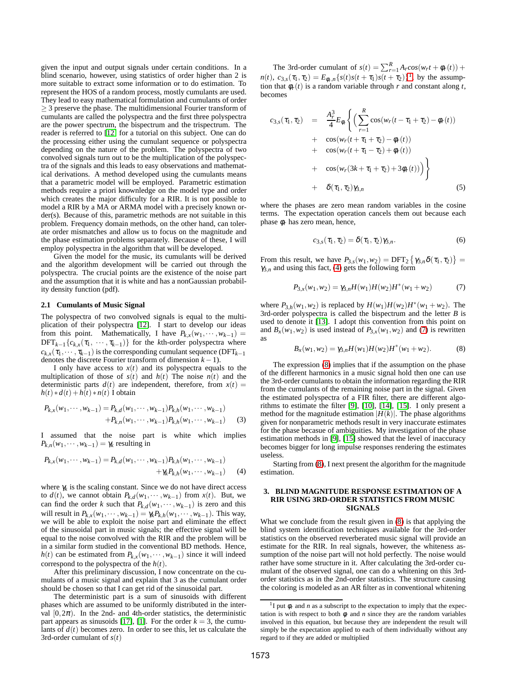given the input and output signals under certain conditions. In a blind scenario, however, using statistics of order higher than 2 is more suitable to extract some information or to do estimation. To represent the HOS of a random process, mostly cumulants are used. They lead to easy mathematical formulation and cumulants of order  $\geq$  3 preserve the phase. The multidimensional Fourier transform of cumulants are called the polyspectra and the first three polyspectra are the power spectrum, the bispectrum and the trispectrum. The reader is referred to [\[12\]](#page-4-7) for a tutorial on this subject. One can do the processing either using the cumulant sequence or polyspectra depending on the nature of the problem. The polyspectra of two convolved signals turn out to be the multiplication of the polyspectra of the signals and this leads to easy observations and mathematical derivations. A method developed using the cumulants means that a parametric model will be employed. Parametric estimation methods require a priori knownledge on the model type and order which creates the major difficulty for a RIR. It is not possible to model a RIR by a MA or ARMA model with a precisely known order(s). Because of this, parametric methods are not suitable in this problem. Frequency domain methods, on the other hand, can tolerate order mismatches and allow us to focus on the magnitude and the phase estimation problems separately. Because of these, I will employ polyspectra in the algorithm that will be developed.

Given the model for the music, its cumulants will be derived and the algorithm development will be carried out through the polyspectra. The crucial points are the existence of the noise part and the assumption that it is white and has a nonGaussian probability density function (pdf).

#### **2.1 Cumulants of Music Signal**

The polyspectra of two convolved signals is equal to the multiplication of their polyspectra [\[12\]](#page-4-7). I start to develop our ideas from this point. Mathematically, I have  $P_{k,x}(w_1, \dots, w_{k-1}) =$  $\text{DFT}_{k-1}\{c_{k,x}(\tau_1,\ldots,\tau_{k-1})\}$  for the *k*th-order polyspectra where  $c_{k,x}(\tau_1, \dots, \tau_{k-1})$  is the corresponding cumulant sequence (DFT<sub>*k*−1</sub>) denotes the discrete Fourier transform of dimension  $k - 1$ ).

I only have access to  $x(t)$  and its polyspectra equals to the multiplication of those of  $s(t)$  and  $h(t)$  The noise  $n(t)$  and the deterministic parts  $d(t)$  are independent, therefore, from  $x(t) =$  $h(t) * d(t) + h(t) * n(t)$  I obtain

$$
P_{k,x}(w_1, \dots, w_{k-1}) = P_{k,d}(w_1, \dots, w_{k-1}) P_{k,h}(w_1, \dots, w_{k-1})
$$
  
+
$$
P_{k,n}(w_1, \dots, w_{k-1}) P_{k,h}(w_1, \dots, w_{k-1})
$$
 (3)

I assumed that the noise part is white which implies  $P_{k,n}(w_1,\dots,w_{k-1}) = \gamma_k$  resulting in

<span id="page-1-1"></span>
$$
P_{k,x}(w_1, \dots, w_{k-1}) = P_{k,d}(w_1, \dots, w_{k-1}) P_{k,h}(w_1, \dots, w_{k-1})
$$
  
 
$$
+ \gamma_k P_{k,h}(w_1, \dots, w_{k-1})
$$
 (4)

where  $\gamma_k$  is the scaling constant. Since we do not have direct access to  $d(t)$ , we cannot obtain  $P_{k,d}(w_1, \dots, w_{k-1})$  from  $x(t)$ . But, we can find the order *k* such that  $P_{k,d}(w_1, \dots, w_{k-1})$  is zero and this will result in  $P_{k,x}(w_1, \dots, w_{k-1}) = \gamma_k P_{k,h}(w_1, \dots, w_{k-1})$ . This way, we will be able to exploit the noise part and eliminate the effect of the sinusoidal part in music signals; the effective signal will be equal to the noise convolved with the RIR and the problem will be in a similar form studied in the conventional BD methods. Hence, *h*(*t*) can be estimated from  $P_{k,x}(w_1, \dots, w_{k-1})$  since it will indeed correspond to the polyspectra of the *h*(*t*).

After this preliminary discussion, I now concentrate on the cumulants of a music signal and explain that 3 as the cumulant order should be chosen so that I can get rid of the sinusoidal part.

The deterministic part is a sum of sinusoids with different phases which are assumed to be uniformly distributed in the interval  $[0,2\pi)$ . In the 2nd- and 4th-order statistics, the deterministic part appears as sinusoids [\[17\]](#page-4-8), [\[1\]](#page-4-9). For the order  $k = 3$ , the cumulants of  $d(t)$  becomes zero. In order to see this, let us calculate the 3rd-order cumulant of *s*(*t*)

The 3rd-order cumulant of  $s(t) = \sum_{r=1}^{R} A_r cos(w_r t + \phi_r(t))$  + *n*(*t*), *c*<sub>3</sub>,*s*( $\tau_1$ ,  $\tau_2$ ) =  $E_{\phi_r,n} \{s(t)s(t+\tau_1)s(t+\tau_2)\}^1$ , by the assumption that  $\phi_r(t)$  is a random variable through *r* and constant along *t*, becomes

$$
c_{3,s}(\tau_1, \tau_2) = \frac{A_r^3}{4} E_{\phi_r} \Biggl\{ \Biggl( \sum_{r=1}^R \cos(w_r(t - \tau_1 + \tau_2) - \phi_r(t)) + \cos(w_r(t + \tau_1 + \tau_2) - \phi_r(t)) + \cos(w_r(t + \tau_1 - \tau_2) + \phi_r(t)) + \cos(w_r(3k + \tau_1 + \tau_2) + 3\phi_r(t)) \Biggr) + \delta(\tau_1, \tau_2) \gamma_{3,n} \tag{5}
$$

where the phases are zero mean random variables in the cosine terms. The expectation operation cancels them out because each phase φ*r* has zero mean, hence,

$$
c_{3,s}(\tau_1, \tau_2) = \delta(\tau_1, \tau_2) \gamma_{3,n}.
$$
 (6)

From this result, we have  $P_{3,s}(w_1, w_2) = \text{DFT}_2 \{ \gamma_{3,n} \delta(\tau_1, \tau_2) \} =$  $\gamma_{3,n}$  and using this fact, [\(4\)](#page-1-1) gets the following form

<span id="page-1-2"></span>
$$
P_{3,x}(w_1, w_2) = \gamma_{3,n} H(w_1) H(w_2) H^*(w_1 + w_2)
$$
 (7)

where  $P_{3h}(w_1, w_2)$  is replaced by  $H(w_1)H(w_2)H^*(w_1 + w_2)$ . The 3rd-order polyspectra is called the bispectrum and the letter *B* is used to denote it [\[13\]](#page-4-10). I adopt this convention from this point on and  $B_x(w_1, w_2)$  is used instead of  $P_{3,x}(w_1, w_2)$  and [\(7\)](#page-1-2) is rewritten as

<span id="page-1-3"></span>
$$
B_x(w_1, w_2) = \gamma_{3,n} H(w_1) H(w_2) H^*(w_1 + w_2).
$$
 (8)

The expression [\(8\)](#page-1-3) implies that if the assumption on the phase of the different harmonics in a music signal hold then one can use the 3rd-order cumulants to obtain the information regarding the RIR from the cumulants of the remaining noise part in the signal. Given the estimated polyspectra of a FIR filter, there are different algorithms to estimate the filter [\[9\]](#page-4-11), [\[10\]](#page-4-12), [\[14\]](#page-4-13), [\[15\]](#page-4-14). I only present a method for the magnitude estimation  $|H(k)|$ . The phase algorithms given for nonparametric methods result in very inaccurate estimates for the phase becasue of ambiguities. My investigation of the phase estimation methods in [\[9\]](#page-4-11), [\[15\]](#page-4-14) showed that the level of inaccuracy becomes bigger for long impulse responses rendering the estimates useless.

Starting from [\(8\)](#page-1-3), I next present the algorithm for the magnitude estimation.

#### **3. BLIND MAGNITUDE RESPONSE ESTIMATION OF A RIR USING 3RD-ORDER STATISTICS FROM MUSIC SIGNALS**

What we conclude from the result given in [\(8\)](#page-1-3) is that applying the blind system identification techniques available for the 3rd-order statistics on the observed reverberated music signal will provide an estimate for the RIR. In real signals, however, the whiteness assumption of the noise part will not hold perfectly. The noise would rather have some structure in it. After calculating the 3rd-order cumulant of the observed signal, one can do a whitening on this 3rdorder statistics as in the 2nd-order statistics. The structure causing the coloring is modeled as an AR filter as in conventional whitening

<span id="page-1-0"></span><sup>&</sup>lt;sup>1</sup>I put  $\phi_r$  and *n* as a subscript to the expectation to imply that the expectation is with respect to both  $\phi$  and *n* since they are the random variables involved in this equation, but because they are independent the result will simply be the expectation applied to each of them individually without any regard to if they are added or multiplied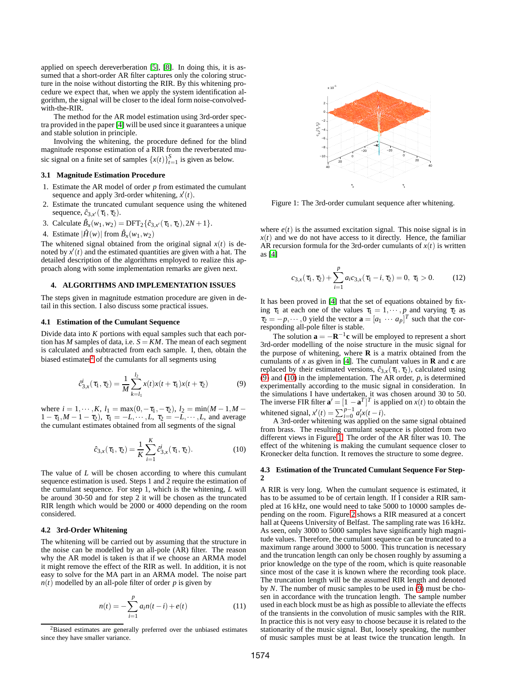applied on speech dereverberation [\[5\]](#page-4-0), [\[8\]](#page-4-15). In doing this, it is assumed that a short-order AR filter captures only the coloring structure in the noise without distorting the RIR. By this whitening procedure we expect that, when we apply the system identification algorithm, the signal will be closer to the ideal form noise-convolvedwith-the-RIR.

The method for the AR model estimation using 3rd-order spectra provided in the paper [\[4\]](#page-4-16) will be used since it guarantees a unique and stable solution in principle.

Involving the whitening, the procedure defined for the blind magnitude response estimation of a RIR from the reverberated music signal on a finite set of samples  $\{x(t)\}_{t=1}^S$  is given as below.

#### **3.1 Magnitude Estimation Procedure**

- 1. Estimate the AR model of order *p* from estimated the cumulant sequence and apply 3rd-order whitening, *x* (*t*).
- 2. Estimate the truncated cumulant sequence using the whitened sequence,  $\hat{c}_{3,x'}(\tau_1, \tau_2)$ .
- 3. Calculate  $\hat{B}_x(w_1, w_2) = \text{DFT}_2\{\hat{c}_{3,x'}(\tau_1, \tau_2), 2N+1\}.$
- 4. Estimate  $|\hat{H}(w)|$  from  $\hat{B}_x(w_1, w_2)$

The whitened signal obtained from the original signal  $x(t)$  is denoted by  $x'(t)$  and the estimated quantities are given with a hat. The detailed description of the algorithms employed to realize this approach along with some implementation remarks are given next.

## **4. ALGORITHMS AND IMPLEMENTATION ISSUES**

The steps given in magnitude estmation procedure are given in detail in this section. I also discuss some practical issues.

## **4.1 Estimation of the Cumulant Sequence**

Divide data into *K* portions with equal samples such that each portion has *M* samples of data, i.e.  $S = KM$ . The mean of each segment is calculated and subtracted from each sample. I, then, obtain the biased estimates $<sup>2</sup>$  of the cumulants for all segments using</sup>

<span id="page-2-1"></span>
$$
\hat{c}_{3,x}^{i}(\tau_1, \tau_2) = \frac{1}{M} \sum_{k=l_1}^{l_2} x(t)x(t+\tau_1)x(t+\tau_2)
$$
(9)

where  $i = 1, \dots, K$ ,  $l_1 = \max(0, -\tau_1, -\tau_2)$ ,  $l_2 = \min(M - 1, M - 1)$  $1 - \tau_1, M - 1 - \tau_2$ ,  $\tau_1 = -L, \dots, L, \tau_2 = -L, \dots, L$ , and average the cumulant estimates obtained from all segments of the signal

<span id="page-2-2"></span>
$$
\hat{c}_{3,x}(\tau_1, \tau_2) = \frac{1}{K} \sum_{i=1}^{K} \hat{c}_{3,x}^i(\tau_1, \tau_2).
$$
 (10)

The value of *L* will be chosen according to where this cumulant sequence estimation is used. Steps 1 and 2 require the estimation of the cumulant sequence. For step 1, which is the whitening, *L* will be around 30-50 and for step 2 it will be chosen as the truncated RIR length which would be 2000 or 4000 depending on the room considered.

#### **4.2 3rd-Order Whitening**

The whitening will be carried out by assuming that the structure in the noise can be modelled by an all-pole (AR) filter. The reason why the AR model is taken is that if we choose an ARMA model it might remove the effect of the RIR as well. In addition, it is not easy to solve for the MA part in an ARMA model. The noise part  $n(t)$  modelled by an all-pole filter of order *p* is given by

$$
n(t) = -\sum_{i=1}^{p} a_i n(t-i) + e(t)
$$
 (11)



<span id="page-2-3"></span>Figure 1: The 3rd-order cumulant sequence after whitening.

where  $e(t)$  is the assumed excitation signal. This noise signal is in  $x(t)$  and we do not have access to it directly. Hence, the familiar AR recursion formula for the 3rd-order cumulants of  $x(t)$  is written as [\[4\]](#page-4-16)

$$
c_{3,x}(\tau_1, \tau_2) + \sum_{i=1}^p a_i c_{3,x}(\tau_1 - i, \tau_2) = 0, \ \tau_1 > 0. \tag{12}
$$

It has been proved in [\[4\]](#page-4-16) that the set of equations obtained by fixing  $\tau_1$  at each one of the values  $\tau_1 = 1, \dots, p$  and varying  $\tau_2$  as  $\tau_2 = -p, \dots, 0$  yield the vector  $\mathbf{a} = [a_1 \cdots a_p]^T$  such that the corresponding all-pole filter is stable.

The solution  $\mathbf{a} = -\mathbf{R}^{-1}\mathbf{c}$  will be employed to represent a short 3rd-order modelling of the noise structure in the music signal for the purpose of whitening, where **R** is a matrix obtained from the cumulants of  $x$  as given in [\[4\]](#page-4-16). The cumulant values in **R** and **c** are replaced by their estimated versions,  $\hat{c}_{3,x}(\tau_1,\tau_2)$ , calculated using [\(9\)](#page-2-1) and [\(10\)](#page-2-2) in the implementation. The AR order, *p*, is determined experimentally according to the music signal in consideration. In the simulations I have undertaken, it was chosen around 30 to 50.<br>The inverse FIR filter  $\mathbf{a}' = [1 - \mathbf{a}^T]^T$  is applied on *x*(*t*) to obtain the whitened signal,  $x'(t) = \sum_{i=0}^{p-1} a'_i x(t - i)$ .

A 3rd-order whitening was applied on the same signal obtained from brass. The resulting cumulant sequence is plotted from two different views in Figure [1.](#page-2-3) The order of the AR filter was 10. The effect of the whitening is making the cumulant sequence closer to Kronecker delta function. It removes the structure to some degree.

#### **4.3 Estimation of the Truncated Cumulant Sequence For Step-2**

A RIR is very long. When the cumulant sequence is estimated, it has to be assumed to be of certain length. If I consider a RIR sampled at 16 kHz, one would need to take 5000 to 10000 samples depending on the room. Figure [2](#page-3-0) shows a RIR measured at a concert hall at Queens University of Belfast. The sampling rate was 16 kHz. As seen, only 3000 to 5000 samples have significantly high magnitude values. Therefore, the cumulant sequence can be truncated to a maximum range around 3000 to 5000. This truncation is necessary and the truncation length can only be chosen roughly by assuming a prior knowledge on the type of the room, which is quite reasonable since most of the case it is known where the recording took place. The truncation length will be the assumed RIR length and denoted by *N*. The number of music samples to be used in [\(9\)](#page-2-1) must be chosen in accordance with the truncation length. The sample number used in each block must be as high as possible to alleviate the effects of the transients in the convolution of music samples with the RIR. In practice this is not very easy to choose because it is related to the stationarity of the music signal. But, loosely speaking, the number of music samples must be at least twice the truncation length. In

<span id="page-2-0"></span><sup>&</sup>lt;sup>2</sup>Biased estimates are generally preferred over the unbiased estimates since they have smaller variance.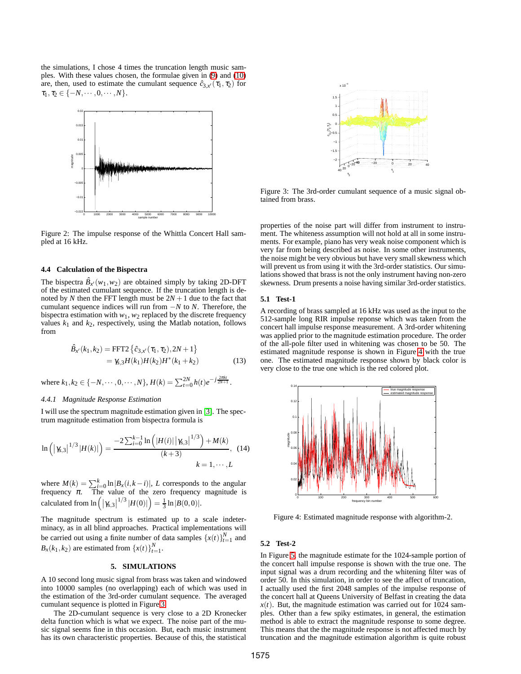the simulations, I chose 4 times the truncation length music samples. With these values chosen, the formulae given in [\(9\)](#page-2-1) and [\(10\)](#page-2-2) are, then, used to estimate the cumulant sequence  $\hat{c}_{3,x'}(\tau_1,\tau_2)$  for  $\tau_1, \tau_2 \in \{-N, \cdots, 0, \cdots, N\}.$ 



<span id="page-3-0"></span>Figure 2: The impulse response of the Whittla Concert Hall sampled at 16 kHz.

#### **4.4 Calculation of the Bispectra**

The bispectra  $\hat{B}_{x'}(w_1, w_2)$  are obtained simply by taking 2D-DFT of the estimated cumulant sequence. If the truncation length is denoted by *N* then the FFT length must be  $2N + 1$  due to the fact that cumulant sequence indices will run from −*N* to *N*. Therefore, the bispectra estimation with  $w_1$ ,  $w_2$  replaced by the discrete frequency values  $k_1$  and  $k_2$ , respectively, using the Matlab notation, follows from

$$
\hat{B}_{x'}(k_1, k_2) = \text{FFT2} \left\{ \hat{c}_{3,x'}(\tau_1, \tau_2), 2N + 1 \right\} \n= \gamma_{5,3} H(k_1) H(k_2) H^*(k_1 + k_2)
$$
\n(13)

where  $k_1, k_2 \in \{-N, \dots, 0, \dots, N\}$ ,  $H(k) = \sum_{t=0}^{2N} h(t) e^{-j \frac{2\pi kt}{2N+1}}$ .

## *4.4.1 Magnitude Response Estimation*

I will use the spectrum magnitude estimation given in [\[3\]](#page-4-17). The spectrum magnitude estimation from bispectra formula is

$$
\ln\left(\left|\gamma_{s,3}\right|^{1/3}|H(k)|\right) = \frac{-2\sum_{i=0}^{k-1}\ln\left(|H(i)|\left|\gamma_{s,3}\right|^{1/3}\right) + M(k)}{(k+3)}, \quad (14)
$$

$$
k = 1, \cdots, L
$$

where  $M(k) = \sum_{i=0}^{k} \ln |B_x(i, k - i)|$ , *L* corresponds to the angular frequency  $\pi$ . The value of the zero frequency magnitude is calculated from  $\ln (|\gamma_{s,3}|^{1/3} |H(0)|) = \frac{1}{3} \ln |B(0,0)|$ .

The magnitude spectrum is estimated up to a scale indeterminacy, as in all blind approaches. Practical implementations will be carried out using a finite number of data samples  $\{x(t)\}_{t=1}^{N}$  and  $B_x(k_1, k_2)$  are estimated from  $\{x(t)\}_{t=1}^N$ .

#### **5. SIMULATIONS**

A 10 second long music signal from brass was taken and windowed into 10000 samples (no overlapping) each of which was used in the estimation of the 3rd-order cumulant sequence. The averaged cumulant sequence is plotted in Figure [3.](#page-3-1)

The 2D-cumulant sequence is very close to a 2D Kronecker delta function which is what we expect. The noise part of the music signal seems fine in this occasion. But, each music instrument has its own characteristic properties. Because of this, the statistical



<span id="page-3-1"></span>Figure 3: The 3rd-order cumulant sequence of a music signal obtained from brass.

properties of the noise part will differ from instrument to instrument. The whiteness assumption will not hold at all in some instruments. For example, piano has very weak noise component which is very far from being described as noise. In some other instruments, the noise might be very obvious but have very small skewness which will prevent us from using it with the 3rd-order statistics. Our simulations showed that brass is not the only instrument having non-zero skewness. Drum presents a noise having similar 3rd-order statistics.

#### **5.1 Test-1**

A recording of brass sampled at 16 kHz was used as the input to the 512-sample long RIR impulse reponse which was taken from the concert hall impulse response measurement. A 3rd-order whitening was applied prior to the magnitude estimation procedure. The order of the all-pole filter used in whitening was chosen to be 50. The estimated magnitude response is shown in Figure [4](#page-3-2) with the true one. The estimated magnitude response shown by black color is very close to the true one which is the red colored plot.



<span id="page-3-2"></span>Figure 4: Estimated magnitude response with algorithm-2.

## **5.2 Test-2**

In Figure [5,](#page-4-18) the magnitude estimate for the 1024-sample portion of the concert hall impulse response is shown with the true one. The input signal was a drum recording and the whitening filter was of order 50. In this simulation, in order to see the affect of truncation, I actually used the first 2048 samples of the impulse response of the concert hall at Queens University of Belfast in creating the data  $x(t)$ . But, the magnitude estimation was carried out for 1024 samples. Other than a few spiky estimates, in general, the estimation method is able to extract the magnitude response to some degree. This means that the the magnitude response is not affected much by truncation and the magnitude estimation algorithm is quite robust